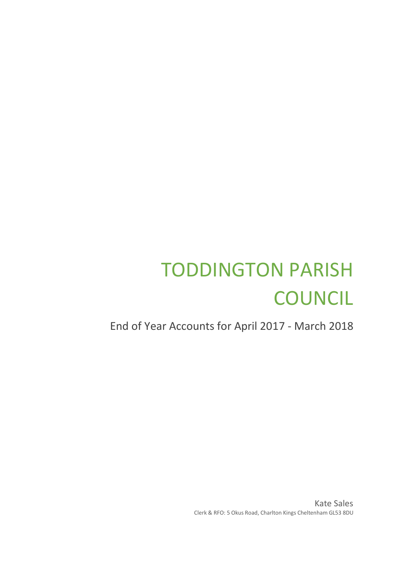## TODDINGTON PARISH **COUNCIL**

End of Year Accounts for April 2017 - March 2018

Kate Sales Clerk & RFO: 5 Okus Road, Charlton Kings Cheltenham GL53 8DU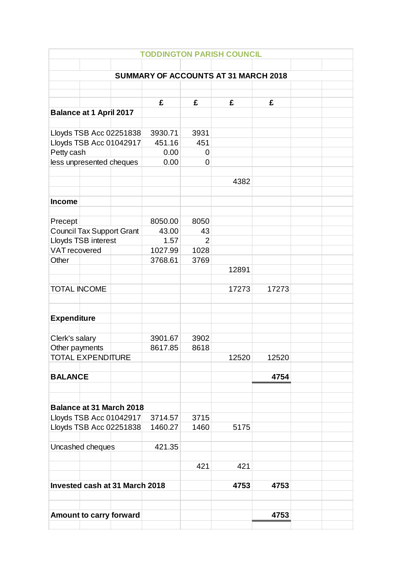| <b>TODDINGTON PARISH COUNCIL</b>            |                                  |                                 |                  |                |       |       |  |  |
|---------------------------------------------|----------------------------------|---------------------------------|------------------|----------------|-------|-------|--|--|
|                                             |                                  |                                 |                  |                |       |       |  |  |
| <b>SUMMARY OF ACCOUNTS AT 31 MARCH 2018</b> |                                  |                                 |                  |                |       |       |  |  |
|                                             |                                  |                                 |                  |                |       |       |  |  |
|                                             |                                  |                                 | £                | £              | £     | £     |  |  |
|                                             | <b>Balance at 1 April 2017</b>   |                                 |                  |                |       |       |  |  |
|                                             |                                  |                                 |                  |                |       |       |  |  |
|                                             |                                  | Lloyds TSB Acc 02251838         | 3930.71          | 3931           |       |       |  |  |
|                                             |                                  | Lloyds TSB Acc 01042917         | 451.16           | 451            |       |       |  |  |
| Petty cash                                  |                                  |                                 | 0.00             | $\mathbf 0$    |       |       |  |  |
|                                             | less unpresented cheques         |                                 | 0.00             | 0              |       |       |  |  |
|                                             |                                  |                                 |                  |                |       |       |  |  |
|                                             |                                  |                                 |                  |                | 4382  |       |  |  |
|                                             |                                  |                                 |                  |                |       |       |  |  |
| <b>Income</b>                               |                                  |                                 |                  |                |       |       |  |  |
|                                             |                                  |                                 |                  |                |       |       |  |  |
| Precept                                     | <b>Council Tax Support Grant</b> |                                 | 8050.00<br>43.00 | 8050<br>43     |       |       |  |  |
|                                             | Lloyds TSB interest              |                                 | 1.57             | $\overline{2}$ |       |       |  |  |
| <b>VAT</b> recovered                        |                                  |                                 | 1027.99          | 1028           |       |       |  |  |
| Other                                       |                                  |                                 | 3768.61          | 3769           |       |       |  |  |
|                                             |                                  |                                 |                  |                | 12891 |       |  |  |
|                                             |                                  |                                 |                  |                |       |       |  |  |
| <b>TOTAL INCOME</b>                         |                                  |                                 |                  |                | 17273 | 17273 |  |  |
|                                             |                                  |                                 |                  |                |       |       |  |  |
|                                             |                                  |                                 |                  |                |       |       |  |  |
| <b>Expenditure</b>                          |                                  |                                 |                  |                |       |       |  |  |
|                                             |                                  |                                 | 3901.67          | 3902           |       |       |  |  |
| Clerk's salary<br>Other payments            |                                  |                                 | 8617.85          | 8618           |       |       |  |  |
| <b>TOTAL EXPENDITURE</b>                    |                                  |                                 |                  |                | 12520 | 12520 |  |  |
|                                             |                                  |                                 |                  |                |       |       |  |  |
| <b>BALANCE</b>                              |                                  |                                 |                  |                |       | 4754  |  |  |
|                                             |                                  |                                 |                  |                |       |       |  |  |
|                                             |                                  |                                 |                  |                |       |       |  |  |
|                                             |                                  | <b>Balance at 31 March 2018</b> |                  |                |       |       |  |  |
| Lloyds TSB Acc 01042917                     |                                  |                                 | 3714.57          | 3715           |       |       |  |  |
|                                             |                                  | Lloyds TSB Acc 02251838         | 1460.27          | 1460           | 5175  |       |  |  |
|                                             |                                  |                                 |                  |                |       |       |  |  |
| Uncashed cheques                            |                                  |                                 | 421.35           |                |       |       |  |  |
|                                             |                                  |                                 |                  | 421            | 421   |       |  |  |
|                                             |                                  |                                 |                  |                |       |       |  |  |
|                                             |                                  | Invested cash at 31 March 2018  |                  |                | 4753  | 4753  |  |  |
|                                             |                                  |                                 |                  |                |       |       |  |  |
|                                             |                                  |                                 |                  |                |       |       |  |  |
|                                             |                                  | Amount to carry forward         |                  |                |       | 4753  |  |  |
|                                             |                                  |                                 |                  |                |       |       |  |  |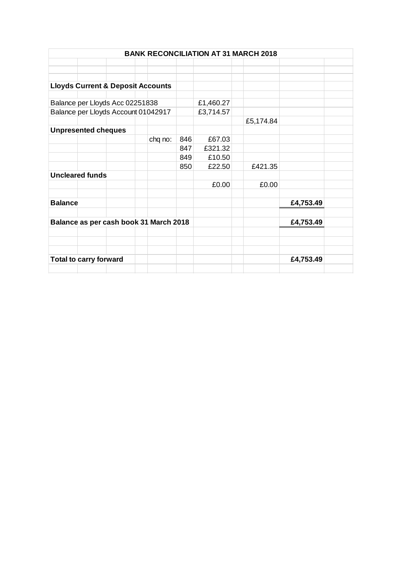| <b>BANK RECONCILIATION AT 31 MARCH 2018</b> |                                              |  |  |         |           |           |           |           |  |
|---------------------------------------------|----------------------------------------------|--|--|---------|-----------|-----------|-----------|-----------|--|
|                                             |                                              |  |  |         |           |           |           |           |  |
|                                             |                                              |  |  |         |           |           |           |           |  |
|                                             |                                              |  |  |         |           |           |           |           |  |
|                                             | <b>Lloyds Current &amp; Deposit Accounts</b> |  |  |         |           |           |           |           |  |
|                                             |                                              |  |  |         |           |           |           |           |  |
| Balance per Lloyds Acc 02251838             |                                              |  |  |         |           | £1,460.27 |           |           |  |
| Balance per Lloyds Account 01042917         |                                              |  |  |         | £3,714.57 |           |           |           |  |
|                                             |                                              |  |  |         |           |           | £5,174.84 |           |  |
| <b>Unpresented cheques</b>                  |                                              |  |  |         |           |           |           |           |  |
|                                             |                                              |  |  | chq no: | 846       | £67.03    |           |           |  |
|                                             |                                              |  |  |         | 847       | £321.32   |           |           |  |
|                                             |                                              |  |  |         | 849       | £10.50    |           |           |  |
|                                             |                                              |  |  |         | 850       | £22.50    | £421.35   |           |  |
| <b>Uncleared funds</b>                      |                                              |  |  |         |           |           |           |           |  |
|                                             |                                              |  |  |         |           | £0.00     | £0.00     |           |  |
|                                             |                                              |  |  |         |           |           |           |           |  |
| <b>Balance</b>                              |                                              |  |  |         |           |           |           | £4,753.49 |  |
|                                             |                                              |  |  |         |           |           |           |           |  |
| Balance as per cash book 31 March 2018      |                                              |  |  |         |           |           | £4,753.49 |           |  |
|                                             |                                              |  |  |         |           |           |           |           |  |
|                                             |                                              |  |  |         |           |           |           |           |  |
|                                             |                                              |  |  |         |           |           |           |           |  |
| <b>Total to carry forward</b>               |                                              |  |  |         |           | £4,753.49 |           |           |  |
|                                             |                                              |  |  |         |           |           |           |           |  |